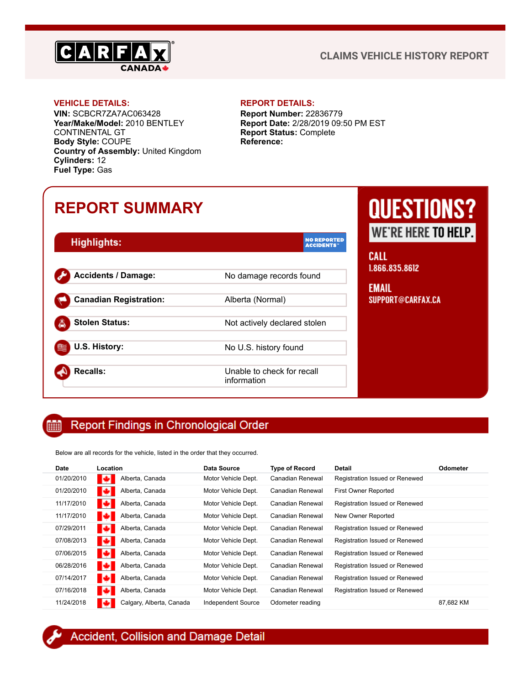

### **CLAIMS VEHICLE HISTORY REPORT**

**VIN:** SCBCR7ZA7AC063428 **Year/Make/Model:** 2010 BENTLEY CONTINENTAL GT **Body Style:** COUPE **Country of Assembly:** United Kingdom **Cylinders:** 12 **Fuel Type:** Gas

### **VEHICLE DETAILS: REPORT DETAILS:**

**Report Number:** 22836779 **Report Date:** 2/28/2019 09:50 PM EST **Report Status:** Complete **Reference:**

## **REPORT SUMMARY**

| Highlights:                   | <b>NO REPORTED</b><br><b>ACCIDENTS</b>    |
|-------------------------------|-------------------------------------------|
| <b>Accidents / Damage:</b>    | No damage records found                   |
| <b>Canadian Registration:</b> | Alberta (Normal)                          |
| <b>Stolen Status:</b>         | Not actively declared stolen              |
| U.S. History:                 | No U.S. history found                     |
| <b>Recalls:</b>               | Unable to check for recall<br>information |

# **QUESTIONS? WE'RE HERE TO HELP.**

**CALL** 1.866.835.8612

**EMAIL** SUPPORT@CARFAX.CA

#### **Report Findings in Chronological Order** H

Below are all records for the vehicle, listed in the order that they occurred.

| <b>Date</b> | Location                 | <b>Data Source</b>  | <b>Type of Record</b> | <b>Detail</b>                  | <b>Odometer</b> |
|-------------|--------------------------|---------------------|-----------------------|--------------------------------|-----------------|
| 01/20/2010  | Alberta, Canada          | Motor Vehicle Dept. | Canadian Renewal      | Registration Issued or Renewed |                 |
| 01/20/2010  | Alberta, Canada<br>ю     | Motor Vehicle Dept. | Canadian Renewal      | <b>First Owner Reported</b>    |                 |
| 11/17/2010  | Alberta, Canada<br>ю     | Motor Vehicle Dept. | Canadian Renewal      | Registration Issued or Renewed |                 |
| 11/17/2010  | Alberta, Canada          | Motor Vehicle Dept. | Canadian Renewal      | New Owner Reported             |                 |
| 07/29/2011  | Alberta, Canada          | Motor Vehicle Dept. | Canadian Renewal      | Registration Issued or Renewed |                 |
| 07/08/2013  | Alberta, Canada<br>ю     | Motor Vehicle Dept. | Canadian Renewal      | Registration Issued or Renewed |                 |
| 07/06/2015  | Alberta, Canada<br>ю     | Motor Vehicle Dept. | Canadian Renewal      | Registration Issued or Renewed |                 |
| 06/28/2016  | Alberta, Canada          | Motor Vehicle Dept. | Canadian Renewal      | Registration Issued or Renewed |                 |
| 07/14/2017  | Alberta, Canada<br>EЗ    | Motor Vehicle Dept. | Canadian Renewal      | Registration Issued or Renewed |                 |
| 07/16/2018  | Alberta, Canada<br>ю     | Motor Vehicle Dept. | Canadian Renewal      | Registration Issued or Renewed |                 |
| 11/24/2018  | Calgary, Alberta, Canada | Independent Source  | Odometer reading      |                                | 87.682 KM       |

<span id="page-0-0"></span>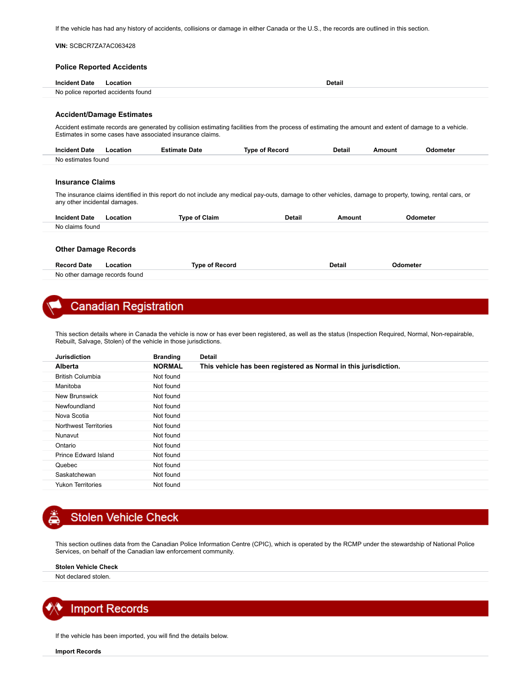If the vehicle has had any history of accidents, collisions or damage in either Canada or the U.S., the records are outlined in this section.

|                               | <b>Police Reported Accidents</b>   |                                                           |                                                                                                                                                           |               |        |          |
|-------------------------------|------------------------------------|-----------------------------------------------------------|-----------------------------------------------------------------------------------------------------------------------------------------------------------|---------------|--------|----------|
|                               |                                    |                                                           |                                                                                                                                                           |               |        |          |
| <b>Incident Date</b>          | Location                           |                                                           |                                                                                                                                                           | <b>Detail</b> |        |          |
|                               | No police reported accidents found |                                                           |                                                                                                                                                           |               |        |          |
|                               |                                    |                                                           |                                                                                                                                                           |               |        |          |
|                               | <b>Accident/Damage Estimates</b>   |                                                           |                                                                                                                                                           |               |        |          |
|                               |                                    |                                                           |                                                                                                                                                           |               |        |          |
|                               |                                    | Estimates in some cases have associated insurance claims. | Accident estimate records are generated by collision estimating facilities from the process of estimating the amount and extent of damage to a vehicle.   |               |        |          |
|                               |                                    |                                                           |                                                                                                                                                           |               |        |          |
|                               |                                    |                                                           |                                                                                                                                                           |               |        |          |
| <b>Incident Date</b>          | Location                           | <b>Estimate Date</b>                                      | <b>Type of Record</b>                                                                                                                                     | <b>Detail</b> | Amount | Odometer |
| No estimates found            |                                    |                                                           |                                                                                                                                                           |               |        |          |
|                               |                                    |                                                           |                                                                                                                                                           |               |        |          |
|                               |                                    |                                                           |                                                                                                                                                           |               |        |          |
| <b>Insurance Claims</b>       |                                    |                                                           |                                                                                                                                                           |               |        |          |
|                               |                                    |                                                           | The insurance claims identified in this report do not include any medical pay-outs, damage to other vehicles, damage to property, towing, rental cars, or |               |        |          |
| any other incidental damages. |                                    |                                                           |                                                                                                                                                           |               |        |          |
| <b>Incident Date</b>          | Location                           | <b>Type of Claim</b>                                      | <b>Detail</b>                                                                                                                                             | Amount        |        | Odometer |

| <b>Record Date</b>            | Location | <b>Type of Record</b> | Detail | Odometer |
|-------------------------------|----------|-----------------------|--------|----------|
| No other damage records found |          |                       |        |          |

### <span id="page-1-0"></span>**Canadian Registration**

This section details where in Canada the vehicle is now or has ever been registered, as well as the status (Inspection Required, Normal, Non-repairable, Rebuilt, Salvage, Stolen) of the vehicle in those jurisdictions.

| <b>Jurisdiction</b>          | <b>Branding</b> | <b>Detail</b>                                                    |
|------------------------------|-----------------|------------------------------------------------------------------|
| <b>Alberta</b>               | <b>NORMAL</b>   | This vehicle has been registered as Normal in this jurisdiction. |
| <b>British Columbia</b>      | Not found       |                                                                  |
| Manitoba                     | Not found       |                                                                  |
| New Brunswick                | Not found       |                                                                  |
| Newfoundland                 | Not found       |                                                                  |
| Nova Scotia                  | Not found       |                                                                  |
| <b>Northwest Territories</b> | Not found       |                                                                  |
| Nunavut                      | Not found       |                                                                  |
| Ontario                      | Not found       |                                                                  |
| Prince Edward Island         | Not found       |                                                                  |
| Quebec                       | Not found       |                                                                  |
| Saskatchewan                 | Not found       |                                                                  |
| <b>Yukon Territories</b>     | Not found       |                                                                  |
|                              |                 |                                                                  |

### <span id="page-1-1"></span>**Stolen Vehicle Check**

This section outlines data from the Canadian Police Information Centre (CPIC), which is operated by the RCMP under the stewardship of National Police Services, on behalf of the Canadian law enforcement community.

**Stolen Vehicle Check**

Not declared stolen.



If the vehicle has been imported, you will find the details below.